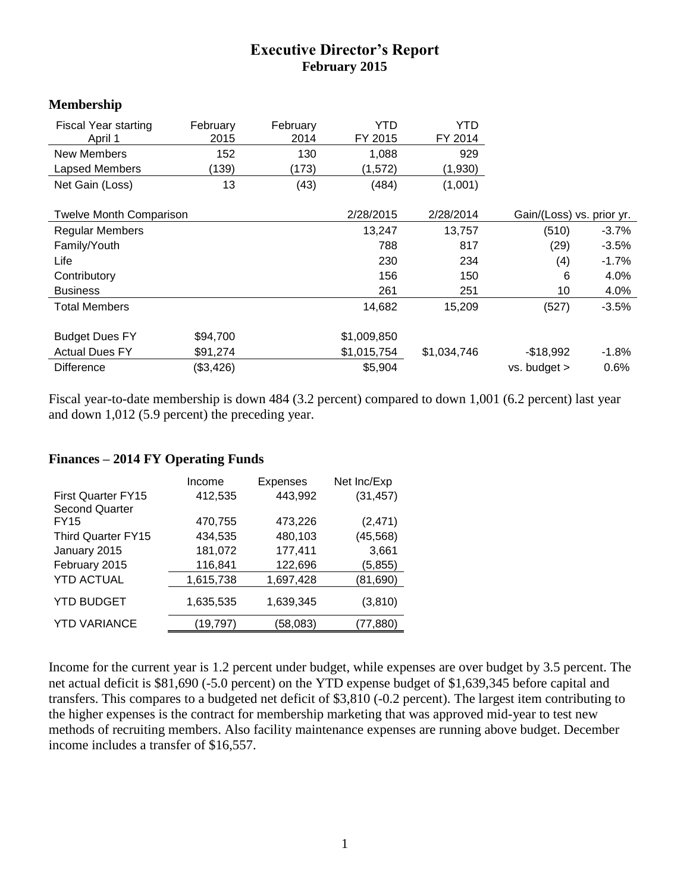## **Executive Director's Report February 2015**

## **Membership**

| <b>Fiscal Year starting</b><br>April 1 | February<br>2015 | February<br>2014 | YTD<br>FY 2015 | YTD<br>FY 2014            |                  |          |
|----------------------------------------|------------------|------------------|----------------|---------------------------|------------------|----------|
| New Members                            | 152              | 130              | 1,088          | 929                       |                  |          |
| <b>Lapsed Members</b>                  | (139)            | (173)            | (1,572)        | (1,930)                   |                  |          |
| Net Gain (Loss)                        | 13               | (43)             | (484)          | (1,001)                   |                  |          |
|                                        |                  |                  |                |                           |                  |          |
| <b>Twelve Month Comparison</b>         |                  | 2/28/2015        | 2/28/2014      | Gain/(Loss) vs. prior yr. |                  |          |
| <b>Regular Members</b>                 |                  |                  | 13,247         | 13,757                    | (510)            | $-3.7\%$ |
| Family/Youth                           |                  |                  | 788            | 817                       | (29)             | $-3.5%$  |
| Life                                   |                  |                  | 230            | 234                       | (4)              | $-1.7%$  |
| Contributory                           |                  |                  | 156            | 150                       | 6                | 4.0%     |
| <b>Business</b>                        |                  |                  | 261            | 251                       | 10               | 4.0%     |
| <b>Total Members</b>                   |                  |                  | 14,682         | 15,209                    | (527)            | $-3.5%$  |
|                                        |                  |                  |                |                           |                  |          |
| <b>Budget Dues FY</b>                  | \$94,700         |                  | \$1,009,850    |                           |                  |          |
| <b>Actual Dues FY</b>                  | \$91,274         |                  | \$1,015,754    | \$1,034,746               | $-$18,992$       | $-1.8%$  |
| <b>Difference</b>                      | (\$3,426)        |                  | \$5,904        |                           | $vs.$ budget $>$ | 0.6%     |

Fiscal year-to-date membership is down 484 (3.2 percent) compared to down 1,001 (6.2 percent) last year and down 1,012 (5.9 percent) the preceding year.

|                           | Income    | Expenses  | Net Inc/Exp |
|---------------------------|-----------|-----------|-------------|
| <b>First Quarter FY15</b> | 412,535   | 443,992   | (31, 457)   |
| <b>Second Quarter</b>     |           |           |             |
| <b>FY15</b>               | 470,755   | 473,226   | (2, 471)    |
| Third Quarter FY15        | 434,535   | 480,103   | (45, 568)   |
| January 2015              | 181,072   | 177,411   | 3,661       |
| February 2015             | 116,841   | 122,696   | (5, 855)    |
| <b>YTD ACTUAL</b>         | 1,615,738 | 1,697,428 | (81,690)    |
| <b>YTD BUDGET</b>         | 1,635,535 | 1,639,345 | (3,810)     |
| <b>YTD VARIANCE</b>       | (19, 797) | (58,083)  | (77, 880)   |

## **Finances – 2014 FY Operating Funds**

Income for the current year is 1.2 percent under budget, while expenses are over budget by 3.5 percent. The net actual deficit is \$81,690 (-5.0 percent) on the YTD expense budget of \$1,639,345 before capital and transfers. This compares to a budgeted net deficit of \$3,810 (-0.2 percent). The largest item contributing to the higher expenses is the contract for membership marketing that was approved mid-year to test new methods of recruiting members. Also facility maintenance expenses are running above budget. December income includes a transfer of \$16,557.